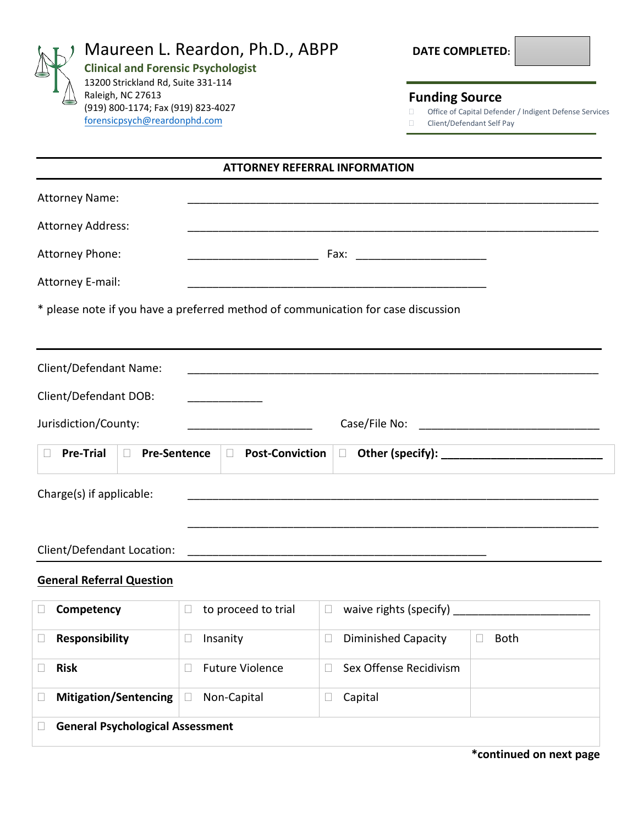| Maureen L. Reardon, Ph.D., ABPP<br><b>Clinical and Forensic Psychologist</b><br>13200 Strickland Rd, Suite 331-114<br>Raleigh, NC 27613<br>(919) 800-1174; Fax (919) 823-4027<br>forensicpsych@reardonphd.com |                                     |                                                                                                              | <b>DATE COMPLETED:</b> |
|---------------------------------------------------------------------------------------------------------------------------------------------------------------------------------------------------------------|-------------------------------------|--------------------------------------------------------------------------------------------------------------|------------------------|
|                                                                                                                                                                                                               |                                     | <b>Funding Source</b><br>Office of Capital Defender / Indigent Defense Services<br>Client/Defendant Self Pay |                        |
|                                                                                                                                                                                                               |                                     | <b>ATTORNEY REFERRAL INFORMATION</b>                                                                         |                        |
| <b>Attorney Name:</b>                                                                                                                                                                                         |                                     |                                                                                                              |                        |
| <b>Attorney Address:</b>                                                                                                                                                                                      |                                     |                                                                                                              |                        |
| Attorney Phone:                                                                                                                                                                                               |                                     | Fax:                                                                                                         |                        |
| Attorney E-mail:                                                                                                                                                                                              |                                     |                                                                                                              |                        |
|                                                                                                                                                                                                               |                                     | * please note if you have a preferred method of communication for case discussion                            |                        |
| Client/Defendant Name:                                                                                                                                                                                        |                                     |                                                                                                              |                        |
| Client/Defendant DOB:                                                                                                                                                                                         |                                     |                                                                                                              |                        |
| Jurisdiction/County:                                                                                                                                                                                          |                                     |                                                                                                              |                        |
| <b>Pre-Trial</b><br><b>Pre-Sentence</b><br>$\Box$                                                                                                                                                             | <b>Post-Conviction</b><br>$\Box$    | $\Box$                                                                                                       |                        |
| Charge(s) if applicable:                                                                                                                                                                                      |                                     |                                                                                                              |                        |
|                                                                                                                                                                                                               |                                     |                                                                                                              |                        |
| Client/Defendant Location:                                                                                                                                                                                    |                                     |                                                                                                              |                        |
| <b>General Referral Question</b>                                                                                                                                                                              |                                     |                                                                                                              |                        |
| Competency                                                                                                                                                                                                    | to proceed to trial<br>$\mathbf{L}$ | waive rights (specify)<br>$\Box$                                                                             |                        |
| <b>Responsibility</b>                                                                                                                                                                                         | Insanity<br>$\Box$                  | <b>Diminished Capacity</b><br>$\Box$                                                                         | <b>Both</b>            |
| <b>Risk</b>                                                                                                                                                                                                   | <b>Future Violence</b>              | Sex Offense Recidivism<br>$\mathbf{L}$                                                                       |                        |
| <b>Mitigation/Sentencing</b>                                                                                                                                                                                  | Non-Capital<br>$\Box$               | Capital<br>$\Box$                                                                                            |                        |
| <b>General Psychological Assessment</b>                                                                                                                                                                       |                                     |                                                                                                              |                        |